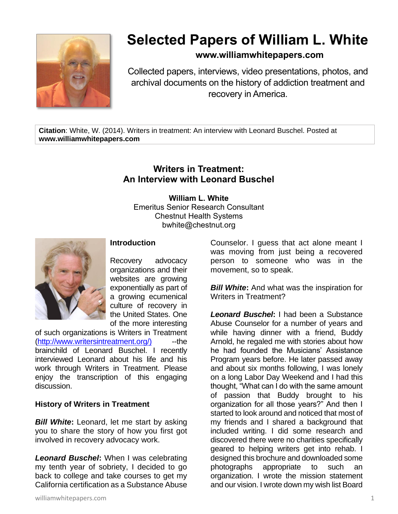

# **Selected Papers of William L. White**

## **www.williamwhitepapers.com**

Collected papers, interviews, video presentations, photos, and archival documents on the history of addiction treatment and recovery in America.

**Citation**: White, W. (2014). Writers in treatment: An interview with Leonard Buschel. Posted at **www.williamwhitepapers.com**

# **Writers in Treatment: An Interview with Leonard Buschel**

**William L. White** Emeritus Senior Research Consultant Chestnut Health Systems bwhite@chestnut.org



#### **Introduction**

Recovery advocacy organizations and their websites are growing exponentially as part of a growing ecumenical culture of recovery in the United States. One of the more interesting

of such organizations is Writers in Treatment [\(http://www.writersintreatment.org/\)](http://www.writersintreatment.org/)) ---the brainchild of Leonard Buschel. I recently interviewed Leonard about his life and his work through Writers in Treatment. Please enjoy the transcription of this engaging discussion.

### **History of Writers in Treatment**

*Bill White***:** Leonard, let me start by asking you to share the story of how you first got involved in recovery advocacy work.

*Leonard Buschel***:** When I was celebrating my tenth year of sobriety, I decided to go back to college and take courses to get my California certification as a Substance Abuse Counselor. I guess that act alone meant I was moving from just being a recovered person to someone who was in the movement, so to speak.

*Bill White***:** And what was the inspiration for Writers in Treatment?

*Leonard Buschel***:** I had been a Substance Abuse Counselor for a number of years and while having dinner with a friend, Buddy Arnold, he regaled me with stories about how he had founded the Musicians' Assistance Program years before. He later passed away and about six months following, I was lonely on a long Labor Day Weekend and I had this thought, "What can I do with the same amount of passion that Buddy brought to his organization for all those years?" And then I started to look around and noticed that most of my friends and I shared a background that included writing. I did some research and discovered there were no charities specifically geared to helping writers get into rehab. I designed this brochure and downloaded some photographs appropriate to such an organization. I wrote the mission statement and our vision. I wrote down my wish list Board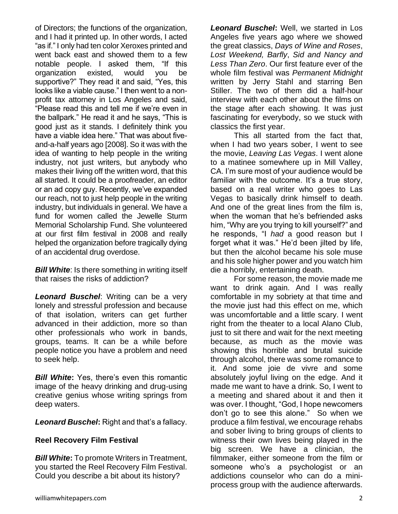of Directors; the functions of the organization, and I had it printed up. In other words, I acted "as if." I only had ten color Xeroxes printed and went back east and showed them to a few notable people. I asked them, "If this organization existed, would you be supportive?" They read it and said, "Yes, this looks like a viable cause." I then went to a nonprofit tax attorney in Los Angeles and said, "Please read this and tell me if we're even in the ballpark." He read it and he says, "This is good just as it stands. I definitely think you have a viable idea here." That was about fiveand-a-half years ago [2008]. So it was with the idea of wanting to help people in the writing industry, not just writers, but anybody who makes their living off the written word, that this all started. It could be a proofreader, an editor or an ad copy guy. Recently, we've expanded our reach, not to just help people in the writing industry, but individuals in general. We have a fund for women called the Jewelle Sturm Memorial Scholarship Fund. She volunteered at our first film festival in 2008 and really helped the organization before tragically dying of an accidental drug overdose.

*Bill White:* Is there something in writing itself that raises the risks of addiction?

*Leonard Buschel*: Writing can be a very lonely and stressful profession and because of that isolation, writers can get further advanced in their addiction, more so than other professionals who work in bands, groups, teams. It can be a while before people notice you have a problem and need to seek help.

*Bill White***:** Yes, there's even this romantic image of the heavy drinking and drug-using creative genius whose writing springs from deep waters.

*Leonard Buschel***:** Right and that's a fallacy.

#### **Reel Recovery Film Festival**

*Bill White***:** To promote Writers in Treatment, you started the Reel Recovery Film Festival. Could you describe a bit about its history?

*Leonard Buschel***:** Well, we started in Los Angeles five years ago where we showed the great classics, *Days of Wine and Roses*, *Lost Weekend, Barfly*, *Sid and Nancy and Less Than Zero*. Our first feature ever of the whole film festival was *Permanent Midnight*  written by Jerry Stahl and starring Ben Stiller. The two of them did a half-hour interview with each other about the films on the stage after each showing. It was just fascinating for everybody, so we stuck with classics the first year.

This all started from the fact that, when I had two years sober, I went to see the movie, *Leaving Las Vegas*. I went alone to a matinee somewhere up in Mill Valley, CA. I'm sure most of your audience would be familiar with the outcome. It's a true story, based on a real writer who goes to Las Vegas to basically drink himself to death. And one of the great lines from the film is, when the woman that he's befriended asks him, "Why are you trying to kill yourself?" and he responds, "I *had* a good reason but I forget what it was." He'd been jilted by life, but then the alcohol became his sole muse and his sole higher power and you watch him die a horribly, entertaining death.

For some reason, the movie made me want to drink again. And I was really comfortable in my sobriety at that time and the movie just had this effect on me, which was uncomfortable and a little scary. I went right from the theater to a local Alano Club, just to sit there and wait for the next meeting because, as much as the movie was showing this horrible and brutal suicide through alcohol, there was some romance to it. And some joie de vivre and some absolutely joyful living on the edge. And it made me want to have a drink. So, I went to a meeting and shared about it and then it was over. I thought, "God, I hope newcomers don't go to see this alone." So when we produce a film festival, we encourage rehabs and sober living to bring groups of clients to witness their own lives being played in the big screen. We have a clinician, the filmmaker, either someone from the film or someone who's a psychologist or an addictions counselor who can do a miniprocess group with the audience afterwards.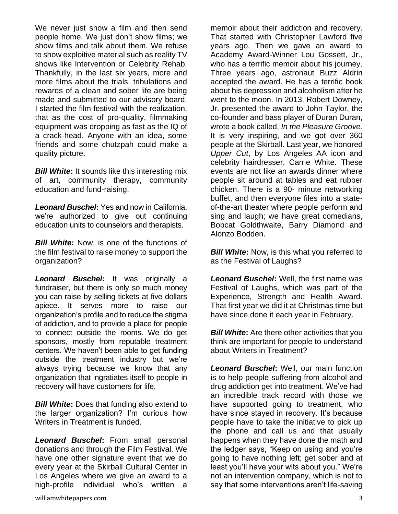We never just show a film and then send people home. We just don't show films; we show films and talk about them. We refuse to show exploitive material such as reality TV shows like Intervention or Celebrity Rehab. Thankfully, in the last six years, more and more films about the trials, tribulations and rewards of a clean and sober life are being made and submitted to our advisory board. I started the film festival with the realization, that as the cost of pro-quality, filmmaking equipment was dropping as fast as the IQ of a crack-head. Anyone with an idea, some friends and some chutzpah could make a quality picture.

*Bill White*: It sounds like this interesting mix of art, community therapy, community education and fund-raising.

*Leonard Buschel***:** Yes and now in California, we're authorized to give out continuing education units to counselors and therapists.

*Bill White***:** Now, is one of the functions of the film festival to raise money to support the organization?

*Leonard Buschel***:** It was originally a fundraiser, but there is only so much money you can raise by selling tickets at five dollars apiece. It serves more to raise our organization's profile and to reduce the stigma of addiction, and to provide a place for people to connect outside the rooms. We do get sponsors, mostly from reputable treatment centers. We haven't been able to get funding outside the treatment industry but we're always trying because we know that any organization that ingratiates itself to people in recovery will have customers for life.

*Bill White***:** Does that funding also extend to the larger organization? I'm curious how Writers in Treatment is funded.

*Leonard Buschel***:** From small personal donations and through the Film Festival. We have one other signature event that we do every year at the Skirball Cultural Center in Los Angeles where we give an award to a high-profile individual who's written a

memoir about their addiction and recovery. That started with Christopher Lawford five years ago. Then we gave an award to Academy Award-Winner Lou Gossett, Jr., who has a terrific memoir about his journey. Three years ago, astronaut Buzz Aldrin accepted the award. He has a terrific book about his depression and alcoholism after he went to the moon. In 2013, Robert Downey, Jr. presented the award to John Taylor, the co-founder and bass player of Duran Duran, wrote a book called, *In the Pleasure Groove.* It is very inspiring, and we got over 360 people at the Skirball. Last year, we honored *Upper Cut*, by Los Angeles AA icon and celebrity hairdresser, Carrie White. These events are not like an awards dinner where people sit around at tables and eat rubber chicken. There is a 90- minute networking buffet, and then everyone files into a stateof-the-art theater where people perform and sing and laugh; we have great comedians, Bobcat Goldthwaite, Barry Diamond and Alonzo Bodden.

**Bill White:** Now, is this what you referred to as the Festival of Laughs?

*Leonard Buschel***:** Well, the first name was Festival of Laughs, which was part of the Experience, Strength and Health Award. That first year we did it at Christmas time but have since done it each year in February.

*Bill White:* Are there other activities that you think are important for people to understand about Writers in Treatment?

*Leonard Buschel***:** Well, our main function is to help people suffering from alcohol and drug addiction get into treatment. We've had an incredible track record with those we have supported going to treatment, who have since stayed in recovery. It's because people have to take the initiative to pick up the phone and call us and that usually happens when they have done the math and the ledger says, "Keep on using and you're going to have nothing left; get sober and at least you'll have your wits about you." We're not an intervention company, which is not to say that some interventions aren't life-saving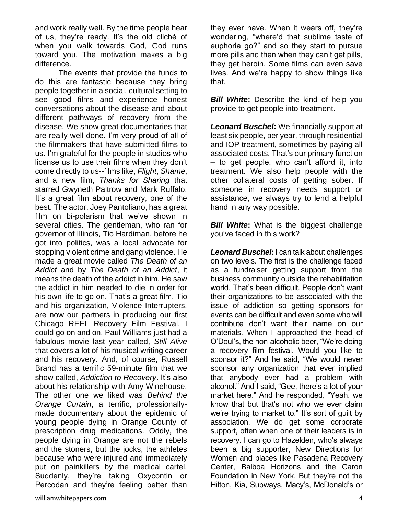and work really well. By the time people hear of us, they're ready. It's the old cliché of when you walk towards God, God runs toward you. The motivation makes a big difference.

The events that provide the funds to do this are fantastic because they bring people together in a social, cultural setting to see good films and experience honest conversations about the disease and about different pathways of recovery from the disease. We show great documentaries that are really well done. I'm very proud of all of the filmmakers that have submitted films to us. I'm grateful for the people in studios who license us to use their films when they don't come directly to us--films like, *Flight*, *Shame*, and a new film, *Thanks for Sharing* that starred Gwyneth Paltrow and Mark Ruffalo. It's a great film about recovery, one of the best. The actor, Joey Pantoliano, has a great film on bi-polarism that we've shown in several cities. The gentleman, who ran for governor of Illinois, Tio Hardiman, before he got into politics, was a local advocate for stopping violent crime and gang violence. He made a great movie called *The Death of an Addict* and by *The Death of an Addict*, it means the death of the addict in him. He saw the addict in him needed to die in order for his own life to go on. That's a great film. Tio and his organization, Violence Interrupters, are now our partners in producing our first Chicago REEL Recovery Film Festival. I could go on and on. Paul Williams just had a fabulous movie last year called, *Still Alive* that covers a lot of his musical writing career and his recovery. And, of course, Russell Brand has a terrific 59-minute film that we show called, *Addiction to Recovery*. It's also about his relationship with Amy Winehouse. The other one we liked was *Behind the Orange Curtain*, a terrific, professionallymade documentary about the epidemic of young people dying in Orange County of prescription drug medications. Oddly, the people dying in Orange are not the rebels and the stoners, but the jocks, the athletes because who were injured and immediately put on painkillers by the medical cartel. Suddenly, they're taking Oxycontin or Percodan and they're feeling better than

*Bill White:* Describe the kind of help you provide to get people into treatment.

*Leonard Buschel***:** We financially support at least six people, per year, through residential and IOP treatment, sometimes by paying all associated costs. That's our primary function – to get people, who can't afford it, into treatment. We also help people with the other collateral costs of getting sober. If someone in recovery needs support or assistance, we always try to lend a helpful hand in any way possible.

**Bill White:** What is the biggest challenge you've faced in this work?

*Leonard Buschel***:** I can talk about challenges on two levels. The first is the challenge faced as a fundraiser getting support from the business community outside the rehabilitation world. That's been difficult. People don't want their organizations to be associated with the issue of addiction so getting sponsors for events can be difficult and even some who will contribute don't want their name on our materials. When I approached the head of O'Doul's, the non-alcoholic beer, "We're doing a recovery film festival. Would you like to sponsor it?" And he said, "We would never sponsor any organization that ever implied that anybody ever had a problem with alcohol." And I said, "Gee, there's a lot of your market here." And he responded, "Yeah, we know that but that's not who we ever claim we're trying to market to." It's sort of guilt by association. We do get some corporate support, often when one of their leaders is in recovery. I can go to Hazelden, who's always been a big supporter, New Directions for Women and places like Pasadena Recovery Center, Balboa Horizons and the Caron Foundation in New York. But they're not the Hilton, Kia, Subways, Macy's, McDonald's or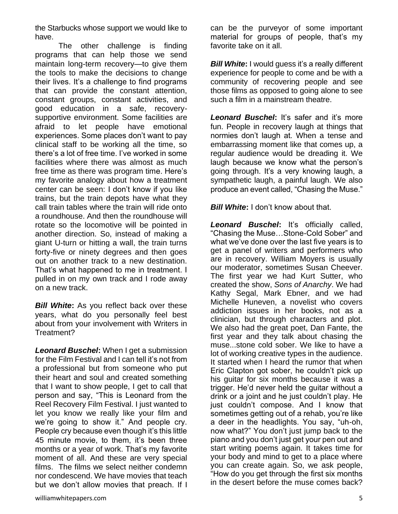the Starbucks whose support we would like to have.

The other challenge is finding programs that can help those we send maintain long-term recovery—to give them the tools to make the decisions to change their lives. It's a challenge to find programs that can provide the constant attention, constant groups, constant activities, and good education in a safe, recoverysupportive environment. Some facilities are afraid to let people have emotional experiences. Some places don't want to pay clinical staff to be working all the time, so there's a lot of free time. I've worked in some facilities where there was almost as much free time as there was program time. Here's my favorite analogy about how a treatment center can be seen: I don't know if you like trains, but the train depots have what they call train tables where the train will ride onto a roundhouse. And then the roundhouse will rotate so the locomotive will be pointed in another direction. So, instead of making a giant U-turn or hitting a wall, the train turns forty-five or ninety degrees and then goes out on another track to a new destination. That's what happened to me in treatment. I pulled in on my own track and I rode away on a new track.

*Bill White:* As you reflect back over these years, what do you personally feel best about from your involvement with Writers in Treatment?

*Leonard Buschel***:** When I get a submission for the Film Festival and I can tell it's not from a professional but from someone who put their heart and soul and created something that I want to show people, I get to call that person and say, "This is Leonard from the Reel Recovery Film Festival. I just wanted to let you know we really like your film and we're going to show it." And people cry. People cry because even though it's this little 45 minute movie, to them, it's been three months or a year of work. That's my favorite moment of all. And these are very special films. The films we select neither condemn nor condescend. We have movies that teach but we don't allow movies that preach. If I can be the purveyor of some important material for groups of people, that's my favorite take on it all.

*Bill White***:** I would guess it's a really different experience for people to come and be with a community of recovering people and see those films as opposed to going alone to see such a film in a mainstream theatre.

*Leonard Buschel***:** It's safer and it's more fun. People in recovery laugh at things that normies don't laugh at. When a tense and embarrassing moment like that comes up, a regular audience would be dreading it. We laugh because we know what the person's going through. It's a very knowing laugh, a sympathetic laugh, a painful laugh. We also produce an event called, "Chasing the Muse."

*Bill White***:** I don't know about that.

*Leonard Buschel***:** It's officially called, "Chasing the Muse…Stone-Cold Sober" and what we've done over the last five years is to get a panel of writers and performers who are in recovery. William Moyers is usually our moderator, sometimes Susan Cheever. The first year we had Kurt Sutter, who created the show, *Sons of Anarchy*. We had Kathy Segal, Mark Ebner, and we had Michelle Huneven, a novelist who covers addiction issues in her books, not as a clinician, but through characters and plot. We also had the great poet, Dan Fante, the first year and they talk about chasing the muse...stone cold sober. We like to have a lot of working creative types in the audience. It started when I heard the rumor that when Eric Clapton got sober, he couldn't pick up his guitar for six months because it was a trigger. He'd never held the guitar without a drink or a joint and he just couldn't play. He just couldn't compose. And I know that sometimes getting out of a rehab, you're like a deer in the headlights. You say, "uh-oh, now what?" You don't just jump back to the piano and you don't just get your pen out and start writing poems again. It takes time for your body and mind to get to a place where you can create again. So, we ask people, "How do you get through the first six months in the desert before the muse comes back?